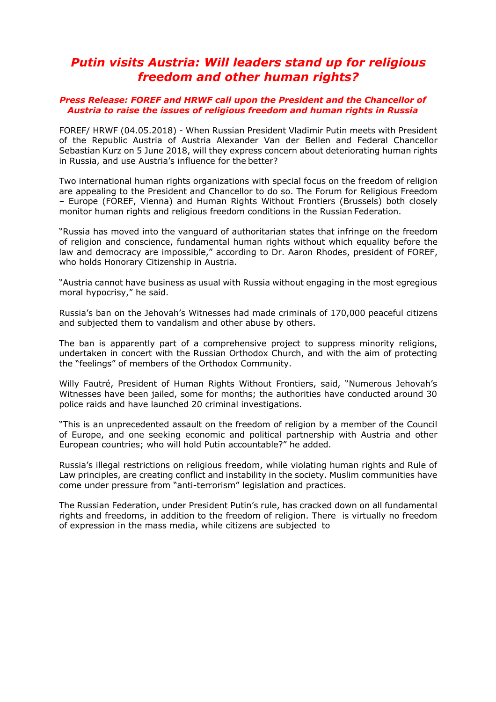## *Putin visits Austria: Will leaders stand up for religious freedom and other human rights?*

## *Press Release: FOREF and HRWF call upon the President and the Chancellor of Austria to raise the issues of religious freedom and human rights in Russia*

FOREF/ HRWF (04.05.2018) - When Russian President Vladimir Putin meets with President of the Republic Austria of Austria Alexander Van der Bellen and Federal Chancellor Sebastian Kurz on 5 June 2018, will they express concern about deteriorating human rights in Russia, and use Austria's influence for the better?

Two international human rights organizations with special focus on the freedom of religion are appealing to the President and Chancellor to do so. The Forum for Religious Freedom – Europe (FOREF, Vienna) and Human Rights Without Frontiers (Brussels) both closely monitor human rights and religious freedom conditions in the Russian Federation.

"Russia has moved into the vanguard of authoritarian states that infringe on the freedom of religion and conscience, fundamental human rights without which equality before the law and democracy are impossible," according to Dr. Aaron Rhodes, president of FOREF, who holds Honorary Citizenship in Austria.

"Austria cannot have business as usual with Russia without engaging in the most egregious moral hypocrisy," he said.

Russia's ban on the Jehovah's Witnesses had made criminals of 170,000 peaceful citizens and subjected them to vandalism and other abuse by others.

The ban is apparently part of a comprehensive project to suppress minority religions, undertaken in concert with the Russian Orthodox Church, and with the aim of protecting the "feelings" of members of the Orthodox Community.

Willy Fautré, President of Human Rights Without Frontiers, said, "Numerous Jehovah's Witnesses have been jailed, some for months; the authorities have conducted around 30 police raids and have launched 20 criminal investigations.

"This is an unprecedented assault on the freedom of religion by a member of the Council of Europe, and one seeking economic and political partnership with Austria and other European countries; who will hold Putin accountable?" he added.

Russia's illegal restrictions on religious freedom, while violating human rights and Rule of Law principles, are creating conflict and instability in the society. Muslim communities have come under pressure from "anti-terrorism" legislation and practices.

The Russian Federation, under President Putin's rule, has cracked down on all fundamental rights and freedoms, in addition to the freedom of religion. There is virtually no freedom of expression in the mass media, while citizens are subjected to